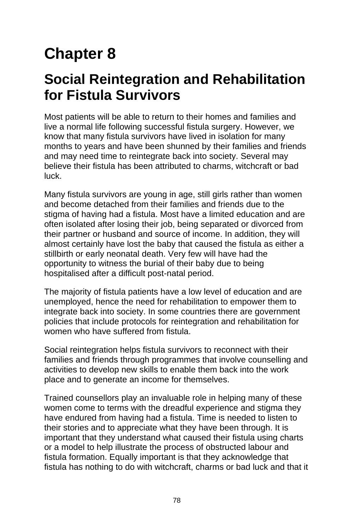# **Chapter 8**

# **Social Reintegration and Rehabilitation for Fistula Survivors**

Most patients will be able to return to their homes and families and live a normal life following successful fistula surgery. However, we know that many fistula survivors have lived in isolation for many months to years and have been shunned by their families and friends and may need time to reintegrate back into society. Several may believe their fistula has been attributed to charms, witchcraft or bad luck.

Many fistula survivors are young in age, still girls rather than women and become detached from their families and friends due to the stigma of having had a fistula. Most have a limited education and are often isolated after losing their job, being separated or divorced from their partner or husband and source of income. In addition, they will almost certainly have lost the baby that caused the fistula as either a stillbirth or early neonatal death. Very few will have had the opportunity to witness the burial of their baby due to being hospitalised after a difficult post-natal period.

The majority of fistula patients have a low level of education and are unemployed, hence the need for rehabilitation to empower them to integrate back into society. In some countries there are government policies that include protocols for reintegration and rehabilitation for women who have suffered from fistula.

Social reintegration helps fistula survivors to reconnect with their families and friends through programmes that involve counselling and activities to develop new skills to enable them back into the work place and to generate an income for themselves.

Trained counsellors play an invaluable role in helping many of these women come to terms with the dreadful experience and stigma they have endured from having had a fistula. Time is needed to listen to their stories and to appreciate what they have been through. It is important that they understand what caused their fistula using charts or a model to help illustrate the process of obstructed labour and fistula formation. Equally important is that they acknowledge that fistula has nothing to do with witchcraft, charms or bad luck and that it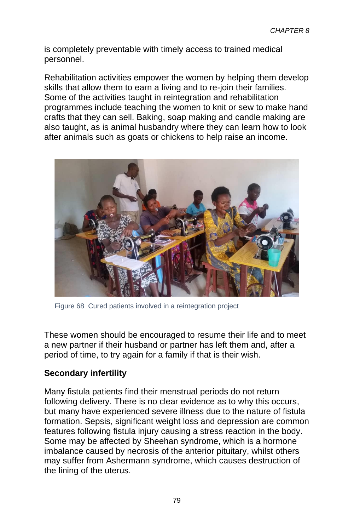is completely preventable with timely access to trained medical personnel.

Rehabilitation activities empower the women by helping them develop skills that allow them to earn a living and to re-join their families. Some of the activities taught in reintegration and rehabilitation programmes include teaching the women to knit or sew to make hand crafts that they can sell. Baking, soap making and candle making are also taught, as is animal husbandry where they can learn how to look after animals such as goats or chickens to help raise an income.



Figure 68 Cured patients involved in a reintegration project

These women should be encouraged to resume their life and to meet a new partner if their husband or partner has left them and, after a period of time, to try again for a family if that is their wish.

### **Secondary infertility**

Many fistula patients find their menstrual periods do not return following delivery. There is no clear evidence as to why this occurs, but many have experienced severe illness due to the nature of fistula formation. Sepsis, significant weight loss and depression are common features following fistula injury causing a stress reaction in the body. Some may be affected by Sheehan syndrome, which is a hormone imbalance caused by necrosis of the anterior pituitary, whilst others may suffer from Ashermann syndrome, which causes destruction of the lining of the uterus.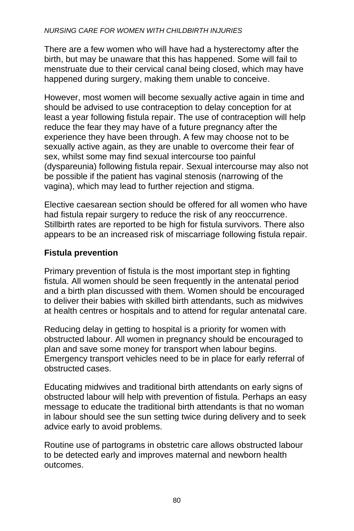#### *NURSING CARE FOR WOMEN WITH CHILDBIRTH INJURIES*

There are a few women who will have had a hysterectomy after the birth, but may be unaware that this has happened. Some will fail to menstruate due to their cervical canal being closed, which may have happened during surgery, making them unable to conceive.

However, most women will become sexually active again in time and should be advised to use contraception to delay conception for at least a year following fistula repair. The use of contraception will help reduce the fear they may have of a future pregnancy after the experience they have been through. A few may choose not to be sexually active again, as they are unable to overcome their fear of sex, whilst some may find sexual intercourse too painful (dyspareunia) following fistula repair. Sexual intercourse may also not be possible if the patient has vaginal stenosis (narrowing of the vagina), which may lead to further rejection and stigma.

Elective caesarean section should be offered for all women who have had fistula repair surgery to reduce the risk of any reoccurrence. Stillbirth rates are reported to be high for fistula survivors. There also appears to be an increased risk of miscarriage following fistula repair.

### **Fistula prevention**

Primary prevention of fistula is the most important step in fighting fistula. All women should be seen frequently in the antenatal period and a birth plan discussed with them. Women should be encouraged to deliver their babies with skilled birth attendants, such as midwives at health centres or hospitals and to attend for regular antenatal care.

Reducing delay in getting to hospital is a priority for women with obstructed labour. All women in pregnancy should be encouraged to plan and save some money for transport when labour begins. Emergency transport vehicles need to be in place for early referral of obstructed cases.

Educating midwives and traditional birth attendants on early signs of obstructed labour will help with prevention of fistula. Perhaps an easy message to educate the traditional birth attendants is that no woman in labour should see the sun setting twice during delivery and to seek advice early to avoid problems.

Routine use of partograms in obstetric care allows obstructed labour to be detected early and improves maternal and newborn health outcomes.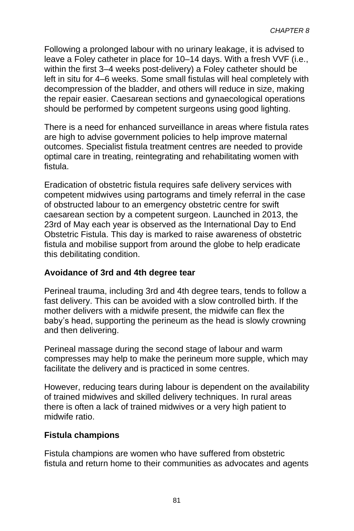Following a prolonged labour with no urinary leakage, it is advised to leave a Foley catheter in place for 10–14 days. With a fresh VVF (i.e., within the first 3–4 weeks post-delivery) a Foley catheter should be left in situ for 4–6 weeks. Some small fistulas will heal completely with decompression of the bladder, and others will reduce in size, making the repair easier. Caesarean sections and gynaecological operations should be performed by competent surgeons using good lighting.

There is a need for enhanced surveillance in areas where fistula rates are high to advise government policies to help improve maternal outcomes. Specialist fistula treatment centres are needed to provide optimal care in treating, reintegrating and rehabilitating women with fistula.

Eradication of obstetric fistula requires safe delivery services with competent midwives using partograms and timely referral in the case of obstructed labour to an emergency obstetric centre for swift caesarean section by a competent surgeon. Launched in 2013, the 23rd of May each year is observed as the International Day to End Obstetric Fistula. This day is marked to raise awareness of obstetric fistula and mobilise support from around the globe to help eradicate this debilitating condition.

### **Avoidance of 3rd and 4th degree tear**

Perineal trauma, including 3rd and 4th degree tears, tends to follow a fast delivery. This can be avoided with a slow controlled birth. If the mother delivers with a midwife present, the midwife can flex the baby's head, supporting the perineum as the head is slowly crowning and then delivering.

Perineal massage during the second stage of labour and warm compresses may help to make the perineum more supple, which may facilitate the delivery and is practiced in some centres.

However, reducing tears during labour is dependent on the availability of trained midwives and skilled delivery techniques. In rural areas there is often a lack of trained midwives or a very high patient to midwife ratio.

#### **Fistula champions**

Fistula champions are women who have suffered from obstetric fistula and return home to their communities as advocates and agents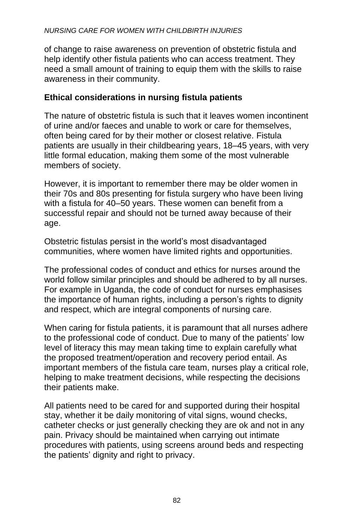of change to raise awareness on prevention of obstetric fistula and help identify other fistula patients who can access treatment. They need a small amount of training to equip them with the skills to raise awareness in their community.

## **Ethical considerations in nursing fistula patients**

The nature of obstetric fistula is such that it leaves women incontinent of urine and/or faeces and unable to work or care for themselves, often being cared for by their mother or closest relative. Fistula patients are usually in their childbearing years, 18–45 years, with very little formal education, making them some of the most vulnerable members of society.

However, it is important to remember there may be older women in their 70s and 80s presenting for fistula surgery who have been living with a fistula for 40–50 years. These women can benefit from a successful repair and should not be turned away because of their age.

Obstetric fistulas persist in the world's most disadvantaged communities, where women have limited rights and opportunities.

The professional codes of conduct and ethics for nurses around the world follow similar principles and should be adhered to by all nurses. For example in Uganda, the code of conduct for nurses emphasises the importance of human rights, including a person's rights to dignity and respect, which are integral components of nursing care.

When caring for fistula patients, it is paramount that all nurses adhere to the professional code of conduct. Due to many of the patients' low level of literacy this may mean taking time to explain carefully what the proposed treatment/operation and recovery period entail. As important members of the fistula care team, nurses play a critical role, helping to make treatment decisions, while respecting the decisions their patients make.

All patients need to be cared for and supported during their hospital stay, whether it be daily monitoring of vital signs, wound checks, catheter checks or just generally checking they are ok and not in any pain. Privacy should be maintained when carrying out intimate procedures with patients, using screens around beds and respecting the patients' dignity and right to privacy.